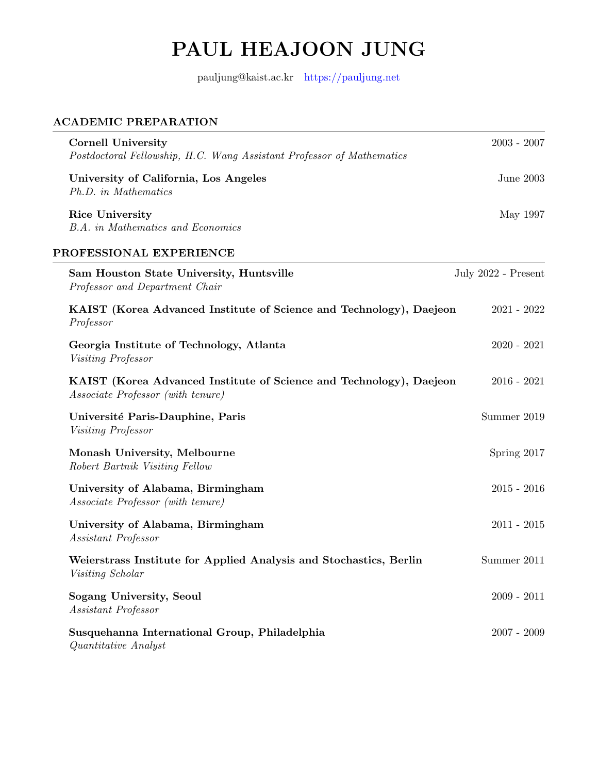# PAUL HEAJOON JUNG

pauljung@kaist.ac.kr <https://pauljung.net>

# ACADEMIC PREPARATION

| <b>Cornell University</b><br>Postdoctoral Fellowship, H.C. Wang Assistant Professor of Mathematics       | $2003 - 2007$       |
|----------------------------------------------------------------------------------------------------------|---------------------|
| University of California, Los Angeles<br>Ph.D. in Mathematics                                            | June 2003           |
| <b>Rice University</b><br><b>B.A.</b> in Mathematics and Economics                                       | May 1997            |
| PROFESSIONAL EXPERIENCE                                                                                  |                     |
| Sam Houston State University, Huntsville<br>Professor and Department Chair                               | July 2022 - Present |
| KAIST (Korea Advanced Institute of Science and Technology), Daejeon<br>Professor                         | $2021 - 2022$       |
| Georgia Institute of Technology, Atlanta<br>Visiting Professor                                           | $2020 - 2021$       |
| KAIST (Korea Advanced Institute of Science and Technology), Daejeon<br>Associate Professor (with tenure) | $2016 - 2021$       |
| Université Paris-Dauphine, Paris<br><i>Visiting Professor</i>                                            | Summer 2019         |
| Monash University, Melbourne<br>Robert Bartnik Visiting Fellow                                           | Spring 2017         |
| University of Alabama, Birmingham<br><i>Associate Professor (with tenure)</i>                            | $2015 - 2016$       |
| University of Alabama, Birmingham<br>Assistant Professor                                                 | $2011 - 2015$       |
| Weierstrass Institute for Applied Analysis and Stochastics, Berlin<br>Visiting Scholar                   | Summer 2011         |
| Sogang University, Seoul<br>Assistant Professor                                                          | $2009 - 2011$       |
| Susquehanna International Group, Philadelphia<br>Quantitative Analyst                                    | $2007 - 2009$       |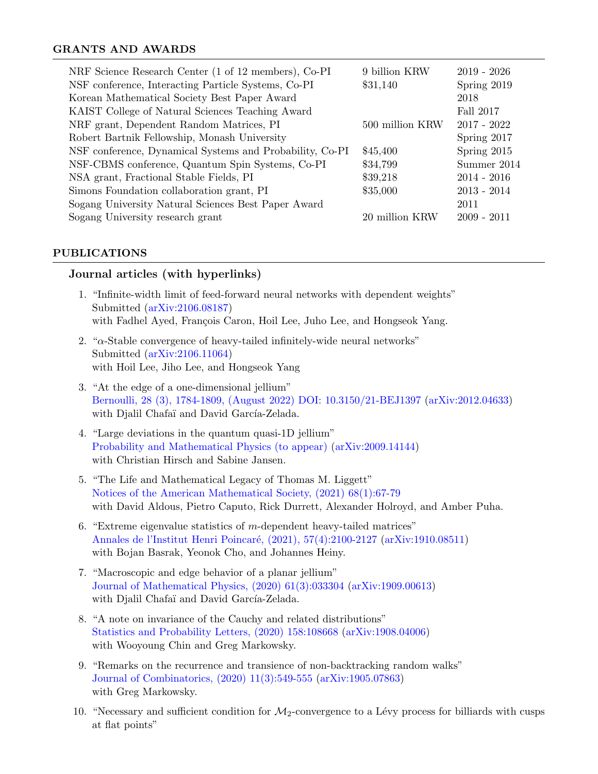## GRANTS AND AWARDS

| NRF Science Research Center (1 of 12 members), Co-PI     | 9 billion KRW   | $2019 - 2026$ |
|----------------------------------------------------------|-----------------|---------------|
| NSF conference, Interacting Particle Systems, Co-PI      | \$31,140        | Spring 2019   |
| Korean Mathematical Society Best Paper Award             |                 | 2018          |
| KAIST College of Natural Sciences Teaching Award         |                 | Fall 2017     |
| NRF grant, Dependent Random Matrices, PI                 | 500 million KRW | $2017 - 2022$ |
| Robert Bartnik Fellowship, Monash University             |                 | Spring 2017   |
| NSF conference, Dynamical Systems and Probability, Co-PI | \$45,400        | Spring 2015   |
| NSF-CBMS conference, Quantum Spin Systems, Co-PI         | \$34,799        | Summer 2014   |
| NSA grant, Fractional Stable Fields, PI                  | \$39,218        | $2014 - 2016$ |
| Simons Foundation collaboration grant, PI                | \$35,000        | $2013 - 2014$ |
| Sogang University Natural Sciences Best Paper Award      |                 | 2011          |
| Sogang University research grant                         | 20 million KRW  | $2009 - 2011$ |

#### PUBLICATIONS

# Journal articles (with hyperlinks)

- 1. "Infinite-width limit of feed-forward neural networks with dependent weights" Submitted [\(arXiv:2106.08187\)](https://arxiv.org/abs/2205.08187.pdf) with Fadhel Ayed, François Caron, Hoil Lee, Juho Lee, and Hongseok Yang.
- 2. " $\alpha$ -Stable convergence of heavy-tailed infinitely-wide neural networks" Submitted [\(arXiv:2106.11064\)](https://arxiv.org/abs/2106.11064.pdf) with Hoil Lee, Jiho Lee, and Hongseok Yang
- 3. "At the edge of a one-dimensional jellium" [Bernoulli, 28 \(3\), 1784-1809, \(August 2022\) DOI: 10.3150/21-BEJ1397](https://projecteuclid.org/journals/bernoulli/volume-28/issue-3/At-the-edge-of-a-one-dimensional-jellium/10.3150/21-BEJ1397.full) [\(arXiv:2012.04633\)](https://arxiv.org/abs/2012.04633.pdf) with Djalil Chafaï and David García-Zelada.
- 4. "Large deviations in the quantum quasi-1D jellium" [Probability and Mathematical Physics \(to appear\)](https://msp.org/soon/coming.php?jpath=pmp) [\(arXiv:2009.14144\)](https://arxiv.org/pdf/2009.14144.pdf) with Christian Hirsch and Sabine Jansen.
- 5. "The Life and Mathematical Legacy of Thomas M. Liggett" [Notices of the American Mathematical Society, \(2021\) 68\(1\):67-79](https://www.ams.org/journals/notices/202101/202101FullIssue.pdf) with David Aldous, Pietro Caputo, Rick Durrett, Alexander Holroyd, and Amber Puha.
- 6. "Extreme eigenvalue statistics of  $m$ -dependent heavy-tailed matrices" [Annales de l'Institut Henri Poincar´e, \(2021\), 57\(4\):2100-2127](https://projecteuclid.org/journals/annales-de-linstitut-henri-poincare-probabilites-et-statistiques/volume-57/issue-4/Extreme-eigenvalue-statistics-of-m-dependent-heavy-tailed-matrices/10.1214/21-AIHP1152.short) [\(arXiv:1910.08511\)](https://arxiv.org/pdf/1910.08511.pdf) with Bojan Basrak, Yeonok Cho, and Johannes Heiny.
- 7. "Macroscopic and edge behavior of a planar jellium" [Journal of Mathematical Physics, \(2020\) 61\(3\):033304](https://aip.scitation.org/doi/10.1063/1.5126724) [\(arXiv:1909.00613\)](https://arxiv.org/pdf/1909.00613.pdf) with Djalil Chafaï and David García-Zelada.
- 8. "A note on invariance of the Cauchy and related distributions" [Statistics and Probability Letters, \(2020\) 158:108668](https://www.sciencedirect.com/science/article/abs/pii/S0167715219303141) [\(arXiv:1908.04006\)](https://arxiv.org/pdf/1908.04006) with Wooyoung Chin and Greg Markowsky.
- 9. "Remarks on the recurrence and transience of non-backtracking random walks" [Journal of Combinatorics, \(2020\) 11\(3\):549-555](https://www.intlpress.com/site/pub/pages/journals/items/joc/content/vols/0011/0003/a007/index.php) [\(arXiv:1905.07863\)](https://arxiv.org/pdf/1905.07863.pdf) with Greg Markowsky.
- 10. "Necessary and sufficient condition for  $\mathcal{M}_2$ -convergence to a Lévy process for billiards with cusps at flat points"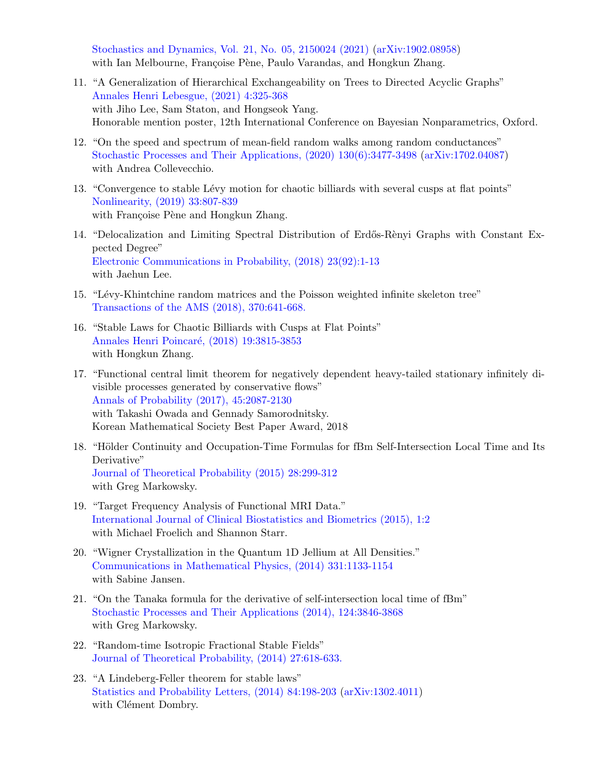[Stochastics and Dynamics, Vol. 21, No. 05, 2150024 \(2021\)](https://www.worldscientific.com/doi/10.1142/S0219493721500246) [\(arXiv:1902.08958\)](https://arxiv.org/pdf/1902.08958.pdf) with Ian Melbourne, Françoise Pène, Paulo Varandas, and Hongkun Zhang.

- 11. "A Generalization of Hierarchical Exchangeability on Trees to Directed Acyclic Graphs" [Annales Henri Lebesgue, \(2021\) 4:325-368](https://ahl.centre-mersenne.org/item/10.5802/ahl.74.pdf) with Jiho Lee, Sam Staton, and Hongseok Yang. Honorable mention poster, 12th International Conference on Bayesian Nonparametrics, Oxford.
- 12. "On the speed and spectrum of mean-field random walks among random conductances" [Stochastic Processes and Their Applications, \(2020\) 130\(6\):3477-3498](https://www.sciencedirect.com/science/article/abs/pii/S0304414918304848) [\(arXiv:1702.04087\)](https://arxiv.org/pdf/1702.04087.pdf) with Andrea Collevecchio.
- 13. "Convergence to stable Lévy motion for chaotic billiards with several cusps at flat points" [Nonlinearity, \(2019\) 33:807-839](https://iopscience.iop.org/article/10.1088/1361-6544/ab5148/pdf?casa_token=FbVuCIgwdY4AAAAA:0YGkIs7vlCYOaM9dhHaeo3uf7SX0Qo1ZopYfirR-tEZnhF-U0W5fuaouDBMAYVze2qwejzkxz2U) with Françoise Pène and Hongkun Zhang.
- 14. "Delocalization and Limiting Spectral Distribution of Erdős-Rènyi Graphs with Constant Expected Degree" [Electronic Communications in Probability, \(2018\) 23\(92\):1-13](https://projecteuclid.org/download/pdfview_1/euclid.ecp/1544843115) with Jaehun Lee.
- 15. "Lévy-Khintchine random matrices and the Poisson weighted infinite skeleton tree" [Transactions of the AMS \(2018\), 370:641-668.](https://www.ams.org/journals/tran/2018-370-01/S0002-9947-2017-06977-4/)
- 16. "Stable Laws for Chaotic Billiards with Cusps at Flat Points" Annales Henri Poincaré, (2018) 19:3815-3853 with Hongkun Zhang.
- 17. "Functional central limit theorem for negatively dependent heavy-tailed stationary infinitely divisible processes generated by conservative flows" [Annals of Probability \(2017\), 45:2087-2130](https://projecteuclid.org/download/pdfview_1/euclid.aop/1415801557) with Takashi Owada and Gennady Samorodnitsky. Korean Mathematical Society Best Paper Award, 2018
- 18. "Hölder Continuity and Occupation-Time Formulas for fBm Self-Intersection Local Time and Its Derivative" [Journal of Theoretical Probability \(2015\) 28:299-312](https://link.springer.com/article/10.1007/s10959-012-0474-8) with Greg Markowsky.
- 19. "Target Frequency Analysis of Functional MRI Data." [International Journal of Clinical Biostatistics and Biometrics \(2015\), 1:2](https://clinmedjournals.org/articles/ijcbb/international-journal-of-clinical-biostatistics-and-biometrics-ijcbb-1-007.pdf) with Michael Froelich and Shannon Starr.
- 20. "Wigner Crystallization in the Quantum 1D Jellium at All Densities." [Communications in Mathematical Physics, \(2014\) 331:1133-1154](https://link.springer.com/article/10.1007/s00220-014-2032-y) with Sabine Jansen.
- 21. "On the Tanaka formula for the derivative of self-intersection local time of fBm" [Stochastic Processes and Their Applications \(2014\), 124:3846-3868](https://www.sciencedirect.com/science/article/pii/S0304414914001562) with Greg Markowsky.
- 22. "Random-time Isotropic Fractional Stable Fields" [Journal of Theoretical Probability, \(2014\) 27:618-633.](https://link.springer.com/article/10.1007%2Fs10959-012-0433-4)
- 23. "A Lindeberg-Feller theorem for stable laws" [Statistics and Probability Letters, \(2014\) 84:198-203](https://www.sciencedirect.com/science/article/abs/pii/S0167715213003520) [\(arXiv:1302.4011\)](https://arxiv.org/pdf/1302.4011.pdf) with Clément Dombry.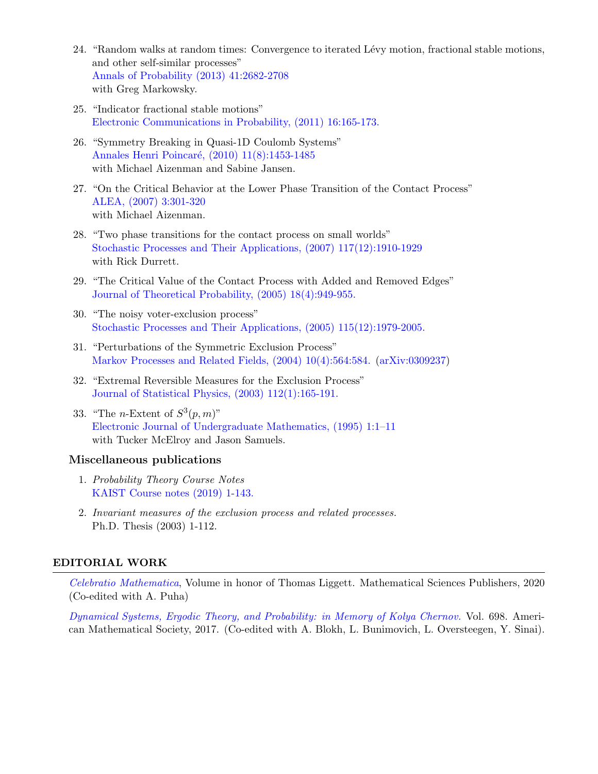- 24. "Random walks at random times: Convergence to iterated Lévy motion, fractional stable motions, and other self-similar processes" [Annals of Probability \(2013\) 41:2682-2708](https://projecteuclid.org/download/pdfview_1/euclid.aop/1372859763) with Greg Markowsky.
- 25. "Indicator fractional stable motions" [Electronic Communications in Probability, \(2011\) 16:165-173.](https://projecteuclid.org/download/pdf_1/euclid.ecp/1465261972)
- 26. "Symmetry Breaking in Quasi-1D Coulomb Systems" Annales Henri Poincaré, (2010) 11(8):1453-1485 with Michael Aizenman and Sabine Jansen.
- 27. "On the Critical Behavior at the Lower Phase Transition of the Contact Process" [ALEA, \(2007\) 3:301-320](http://alea.impa.br/articles/v3/03-12.pdf) with Michael Aizenman.
- 28. "Two phase transitions for the contact process on small worlds" [Stochastic Processes and Their Applications, \(2007\) 117\(12\):1910-1929](https://www.sciencedirect.com/science/article/pii/S0304414907000373) with Rick Durrett.
- 29. "The Critical Value of the Contact Process with Added and Removed Edges" [Journal of Theoretical Probability, \(2005\) 18\(4\):949-955.](https://link.springer.com/article/10.1007/s10959-005-7536-0)
- 30. "The noisy voter-exclusion process" [Stochastic Processes and Their Applications, \(2005\) 115\(12\):1979-2005.](https://www.sciencedirect.com/science/article/pii/S0304414905001031)
- 31. "Perturbations of the Symmetric Exclusion Process" [Markov Processes and Related Fields, \(2004\) 10\(4\):564:584.](http://math-mprf.org/journal/articles/id1026/) [\(arXiv:0309237\)](https://arxiv.org/pdf/math/0309237.pdf)
- 32. "Extremal Reversible Measures for the Exclusion Process" [Journal of Statistical Physics, \(2003\) 112\(1\):165-191.](https://link.springer.com/article/10.1023/A:1023679620839)
- 33. "The *n*-Extent of  $S^3(p, m)$ " [Electronic Journal of Undergraduate Mathematics, \(1995\) 1:1–11](http://math.furman.edu/~mwoodard/fuejum/content/1995/1995paper1.pdf) with Tucker McElroy and Jason Samuels.

#### Miscellaneous publications

- 1. Probability Theory Course Notes [KAIST Course notes \(2019\) 1-143.](https://drive.google.com/file/d/1a3CWTojPVWGjRWz7lyjHJjnaNFaU2zqi/view)
- 2. Invariant measures of the exclusion process and related processes. Ph.D. Thesis (2003) 1-112.

#### EDITORIAL WORK

[Celebratio Mathematica](https://celebratio.org/), Volume in honor of Thomas Liggett. Mathematical Sciences Publishers, 2020 (Co-edited with A. Puha)

[Dynamical Systems, Ergodic Theory, and Probability: in Memory of Kolya Chernov.](http://www.ams.org/books/conm/698/conm698-endmatter.pdf) Vol. 698. American Mathematical Society, 2017. (Co-edited with A. Blokh, L. Bunimovich, L. Oversteegen, Y. Sinai).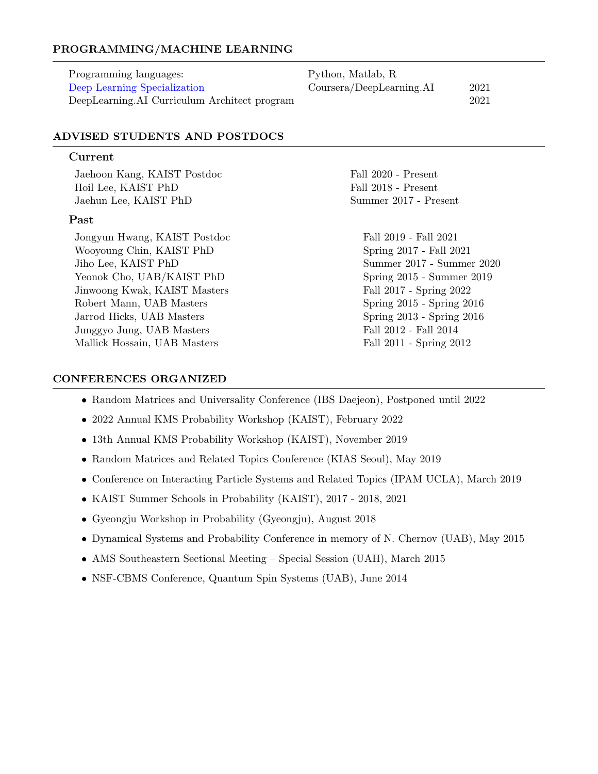## PROGRAMMING/MACHINE LEARNING

| Programming languages:                       | Python, Matlab, R        |      |
|----------------------------------------------|--------------------------|------|
| Deep Learning Specialization                 | Coursera/DeepLearning.AI | 2021 |
| DeepLearning.AI Curriculum Architect program |                          | 2021 |

## ADVISED STUDENTS AND POSTDOCS

#### Current

Jaehoon Kang, KAIST Postdoc Fall 2020 - Present Hoil Lee, KAIST PhD Fall 2018 - Present Jaehun Lee, KAIST PhD Summer 2017 - Present

#### Past

Jongyun Hwang, KAIST Postdoc Fall 2019 - Fall 2021 Wooyoung Chin, KAIST PhD Spring 2017 - Fall 2021 Jiho Lee, KAIST PhD Summer 2017 - Summer 2020 Yeonok Cho, UAB/KAIST PhD Spring 2015 - Summer 2019 Jinwoong Kwak, KAIST Masters Fall 2017 - Spring 2022 Robert Mann, UAB Masters Spring 2015 - Spring 2016 Jarrod Hicks, UAB Masters Spring 2013 - Spring 2016 Junggyo Jung, UAB Masters Fall 2012 - Fall 2014 Mallick Hossain, UAB Masters Fall 2011 - Spring 2012

#### CONFERENCES ORGANIZED

- Random Matrices and Universality Conference (IBS Daejeon), Postponed until 2022
- 2022 Annual KMS Probability Workshop (KAIST), February 2022
- 13th Annual KMS Probability Workshop (KAIST), November 2019
- Random Matrices and Related Topics Conference (KIAS Seoul), May 2019
- Conference on Interacting Particle Systems and Related Topics (IPAM UCLA), March 2019
- KAIST Summer Schools in Probability (KAIST), 2017 2018, 2021
- Gyeongju Workshop in Probability (Gyeongju), August 2018
- Dynamical Systems and Probability Conference in memory of N. Chernov (UAB), May 2015
- AMS Southeastern Sectional Meeting Special Session (UAH), March 2015
- NSF-CBMS Conference, Quantum Spin Systems (UAB), June 2014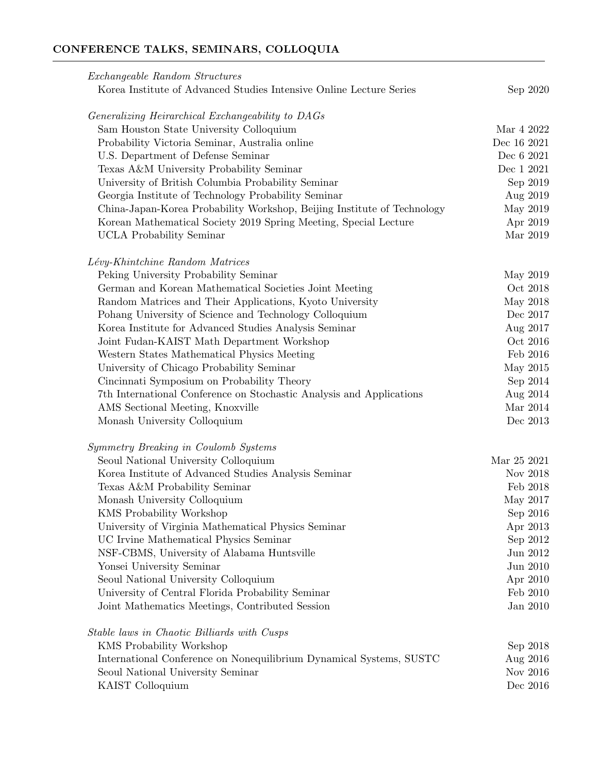# CONFERENCE TALKS, SEMINARS, COLLOQUIA

| <i>Exchangeable Random Structures</i>                                   |             |
|-------------------------------------------------------------------------|-------------|
| Korea Institute of Advanced Studies Intensive Online Lecture Series     | Sep 2020    |
| Generalizing Heirarchical Exchangeability to DAGs                       |             |
| Sam Houston State University Colloquium                                 | Mar 4 2022  |
| Probability Victoria Seminar, Australia online                          | Dec 16 2021 |
| U.S. Department of Defense Seminar                                      | Dec 6 2021  |
| Texas A&M University Probability Seminar                                | Dec 1 2021  |
| University of British Columbia Probability Seminar                      | Sep 2019    |
| Georgia Institute of Technology Probability Seminar                     | Aug 2019    |
| China-Japan-Korea Probability Workshop, Beijing Institute of Technology | May 2019    |
| Korean Mathematical Society 2019 Spring Meeting, Special Lecture        | Apr 2019    |
| <b>UCLA</b> Probability Seminar                                         | Mar 2019    |
| Lévy-Khintchine Random Matrices                                         |             |
| Peking University Probability Seminar                                   | May 2019    |
| German and Korean Mathematical Societies Joint Meeting                  | Oct 2018    |
| Random Matrices and Their Applications, Kyoto University                | May 2018    |
| Pohang University of Science and Technology Colloquium                  | Dec 2017    |
| Korea Institute for Advanced Studies Analysis Seminar                   | Aug 2017    |
| Joint Fudan-KAIST Math Department Workshop                              | Oct 2016    |
| Western States Mathematical Physics Meeting                             | Feb 2016    |
| University of Chicago Probability Seminar                               | May 2015    |
| Cincinnati Symposium on Probability Theory                              | Sep 2014    |
| 7th International Conference on Stochastic Analysis and Applications    | Aug 2014    |
| AMS Sectional Meeting, Knoxville                                        | Mar 2014    |
| Monash University Colloquium                                            | Dec 2013    |
| Symmetry Breaking in Coulomb Systems                                    |             |
| Seoul National University Colloquium                                    | Mar 25 2021 |
| Korea Institute of Advanced Studies Analysis Seminar                    | Nov 2018    |
| Texas A&M Probability Seminar                                           | Feb 2018    |
| Monash University Colloquium                                            | May 2017    |
| KMS Probability Workshop                                                | Sep 2016    |
| University of Virginia Mathematical Physics Seminar                     | Apr 2013    |
| UC Irvine Mathematical Physics Seminar                                  | Sep 2012    |
| NSF-CBMS, University of Alabama Huntsville                              | Jun 2012    |
| Yonsei University Seminar                                               | Jun 2010    |
| Seoul National University Colloquium                                    | Apr 2010    |
| University of Central Florida Probability Seminar                       | Feb 2010    |
| Joint Mathematics Meetings, Contributed Session                         | Jan 2010    |
| Stable laws in Chaotic Billiards with Cusps                             |             |
| KMS Probability Workshop                                                | Sep 2018    |
| International Conference on Nonequilibrium Dynamical Systems, SUSTC     | Aug 2016    |
| Seoul National University Seminar                                       | Nov 2016    |
| KAIST Colloquium                                                        | Dec 2016    |
|                                                                         |             |